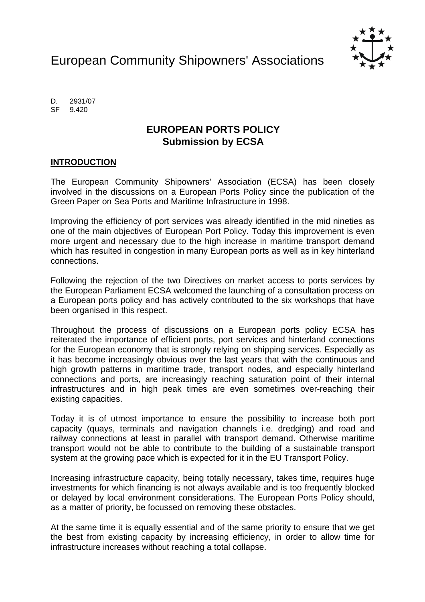European Community Shipowners' Associations



D. 2931/07 SF 9.420

# **EUROPEAN PORTS POLICY Submission by ECSA**

## **INTRODUCTION**

The European Community Shipowners' Association (ECSA) has been closely involved in the discussions on a European Ports Policy since the publication of the Green Paper on Sea Ports and Maritime Infrastructure in 1998.

Improving the efficiency of port services was already identified in the mid nineties as one of the main objectives of European Port Policy. Today this improvement is even more urgent and necessary due to the high increase in maritime transport demand which has resulted in congestion in many European ports as well as in key hinterland connections.

Following the rejection of the two Directives on market access to ports services by the European Parliament ECSA welcomed the launching of a consultation process on a European ports policy and has actively contributed to the six workshops that have been organised in this respect.

Throughout the process of discussions on a European ports policy ECSA has reiterated the importance of efficient ports, port services and hinterland connections for the European economy that is strongly relying on shipping services. Especially as it has become increasingly obvious over the last years that with the continuous and high growth patterns in maritime trade, transport nodes, and especially hinterland connections and ports, are increasingly reaching saturation point of their internal infrastructures and in high peak times are even sometimes over-reaching their existing capacities.

Today it is of utmost importance to ensure the possibility to increase both port capacity (quays, terminals and navigation channels i.e. dredging) and road and railway connections at least in parallel with transport demand. Otherwise maritime transport would not be able to contribute to the building of a sustainable transport system at the growing pace which is expected for it in the EU Transport Policy.

Increasing infrastructure capacity, being totally necessary, takes time, requires huge investments for which financing is not always available and is too frequently blocked or delayed by local environment considerations. The European Ports Policy should, as a matter of priority, be focussed on removing these obstacles.

At the same time it is equally essential and of the same priority to ensure that we get the best from existing capacity by increasing efficiency, in order to allow time for infrastructure increases without reaching a total collapse.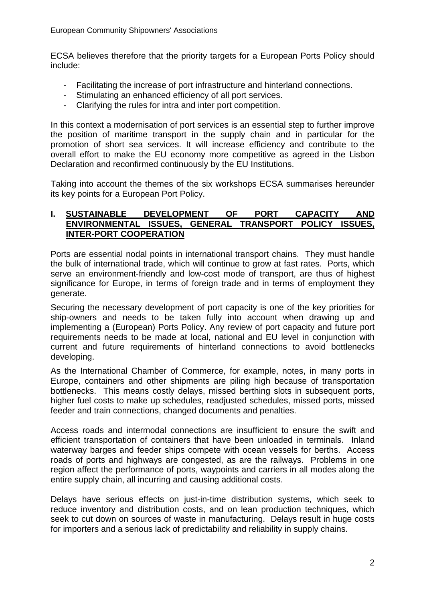ECSA believes therefore that the priority targets for a European Ports Policy should include:

- Facilitating the increase of port infrastructure and hinterland connections.
- Stimulating an enhanced efficiency of all port services.
- Clarifying the rules for intra and inter port competition.

In this context a modernisation of port services is an essential step to further improve the position of maritime transport in the supply chain and in particular for the promotion of short sea services. It will increase efficiency and contribute to the overall effort to make the EU economy more competitive as agreed in the Lisbon Declaration and reconfirmed continuously by the EU Institutions.

Taking into account the themes of the six workshops ECSA summarises hereunder its key points for a European Port Policy.

## **I. SUSTAINABLE DEVELOPMENT OF PORT CAPACITY AND ENVIRONMENTAL ISSUES, GENERAL TRANSPORT POLICY ISSUES, INTER-PORT COOPERATION**

Ports are essential nodal points in international transport chains. They must handle the bulk of international trade, which will continue to grow at fast rates. Ports, which serve an environment-friendly and low-cost mode of transport, are thus of highest significance for Europe, in terms of foreign trade and in terms of employment they generate.

Securing the necessary development of port capacity is one of the key priorities for ship-owners and needs to be taken fully into account when drawing up and implementing a (European) Ports Policy. Any review of port capacity and future port requirements needs to be made at local, national and EU level in conjunction with current and future requirements of hinterland connections to avoid bottlenecks developing.

As the International Chamber of Commerce, for example, notes, in many ports in Europe, containers and other shipments are piling high because of transportation bottlenecks. This means costly delays, missed berthing slots in subsequent ports, higher fuel costs to make up schedules, readjusted schedules, missed ports, missed feeder and train connections, changed documents and penalties.

Access roads and intermodal connections are insufficient to ensure the swift and efficient transportation of containers that have been unloaded in terminals. Inland waterway barges and feeder ships compete with ocean vessels for berths. Access roads of ports and highways are congested, as are the railways. Problems in one region affect the performance of ports, waypoints and carriers in all modes along the entire supply chain, all incurring and causing additional costs.

Delays have serious effects on just-in-time distribution systems, which seek to reduce inventory and distribution costs, and on lean production techniques, which seek to cut down on sources of waste in manufacturing. Delays result in huge costs for importers and a serious lack of predictability and reliability in supply chains.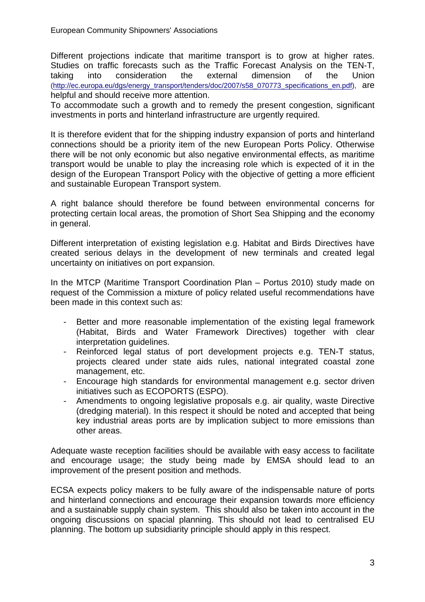Different projections indicate that maritime transport is to grow at higher rates. Studies on traffic forecasts such as the Traffic Forecast Analysis on the TEN-T, taking into consideration the external dimension of the Union (http://ec.europa.eu/dgs/energy\_transport/tenders/doc/2007/s58\_070773\_specifications\_en.pdf), are helpful and should receive more attention.

To accommodate such a growth and to remedy the present congestion, significant investments in ports and hinterland infrastructure are urgently required.

It is therefore evident that for the shipping industry expansion of ports and hinterland connections should be a priority item of the new European Ports Policy. Otherwise there will be not only economic but also negative environmental effects, as maritime transport would be unable to play the increasing role which is expected of it in the design of the European Transport Policy with the objective of getting a more efficient and sustainable European Transport system.

A right balance should therefore be found between environmental concerns for protecting certain local areas, the promotion of Short Sea Shipping and the economy in general.

Different interpretation of existing legislation e.g. Habitat and Birds Directives have created serious delays in the development of new terminals and created legal uncertainty on initiatives on port expansion.

In the MTCP (Maritime Transport Coordination Plan – Portus 2010) study made on request of the Commission a mixture of policy related useful recommendations have been made in this context such as:

- Better and more reasonable implementation of the existing legal framework (Habitat, Birds and Water Framework Directives) together with clear interpretation guidelines.
- Reinforced legal status of port development projects e.g. TEN-T status, projects cleared under state aids rules, national integrated coastal zone management, etc.
- Encourage high standards for environmental management e.g. sector driven initiatives such as ECOPORTS (ESPO).
- Amendments to ongoing legislative proposals e.g. air quality, waste Directive (dredging material). In this respect it should be noted and accepted that being key industrial areas ports are by implication subject to more emissions than other areas.

Adequate waste reception facilities should be available with easy access to facilitate and encourage usage; the study being made by EMSA should lead to an improvement of the present position and methods.

ECSA expects policy makers to be fully aware of the indispensable nature of ports and hinterland connections and encourage their expansion towards more efficiency and a sustainable supply chain system. This should also be taken into account in the ongoing discussions on spacial planning. This should not lead to centralised EU planning. The bottom up subsidiarity principle should apply in this respect.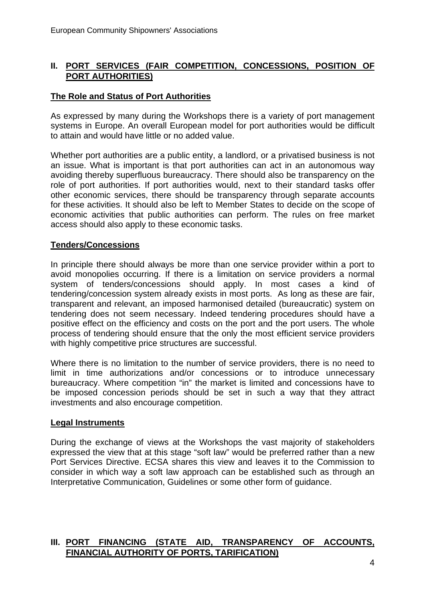## **II. PORT SERVICES (FAIR COMPETITION, CONCESSIONS, POSITION OF PORT AUTHORITIES)**

## **The Role and Status of Port Authorities**

As expressed by many during the Workshops there is a variety of port management systems in Europe. An overall European model for port authorities would be difficult to attain and would have little or no added value.

Whether port authorities are a public entity, a landlord, or a privatised business is not an issue. What is important is that port authorities can act in an autonomous way avoiding thereby superfluous bureaucracy. There should also be transparency on the role of port authorities. If port authorities would, next to their standard tasks offer other economic services, there should be transparency through separate accounts for these activities. It should also be left to Member States to decide on the scope of economic activities that public authorities can perform. The rules on free market access should also apply to these economic tasks.

#### **Tenders/Concessions**

In principle there should always be more than one service provider within a port to avoid monopolies occurring. If there is a limitation on service providers a normal system of tenders/concessions should apply. In most cases a kind of tendering/concession system already exists in most ports. As long as these are fair, transparent and relevant, an imposed harmonised detailed (bureaucratic) system on tendering does not seem necessary. Indeed tendering procedures should have a positive effect on the efficiency and costs on the port and the port users. The whole process of tendering should ensure that the only the most efficient service providers with highly competitive price structures are successful.

Where there is no limitation to the number of service providers, there is no need to limit in time authorizations and/or concessions or to introduce unnecessary bureaucracy. Where competition "in" the market is limited and concessions have to be imposed concession periods should be set in such a way that they attract investments and also encourage competition.

#### **Legal Instruments**

During the exchange of views at the Workshops the vast majority of stakeholders expressed the view that at this stage "soft law" would be preferred rather than a new Port Services Directive. ECSA shares this view and leaves it to the Commission to consider in which way a soft law approach can be established such as through an Interpretative Communication, Guidelines or some other form of guidance.

# **III. PORT FINANCING (STATE AID, TRANSPARENCY OF ACCOUNTS, FINANCIAL AUTHORITY OF PORTS, TARIFICATION)**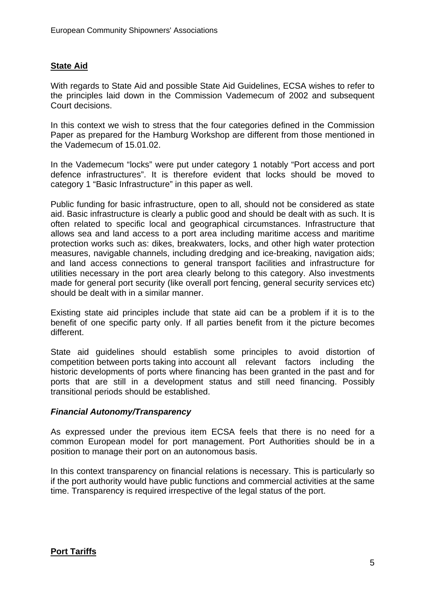## **State Aid**

With regards to State Aid and possible State Aid Guidelines, ECSA wishes to refer to the principles laid down in the Commission Vademecum of 2002 and subsequent Court decisions.

In this context we wish to stress that the four categories defined in the Commission Paper as prepared for the Hamburg Workshop are different from those mentioned in the Vademecum of 15.01.02.

In the Vademecum "locks" were put under category 1 notably "Port access and port defence infrastructures". It is therefore evident that locks should be moved to category 1 "Basic Infrastructure" in this paper as well.

Public funding for basic infrastructure, open to all, should not be considered as state aid. Basic infrastructure is clearly a public good and should be dealt with as such. It is often related to specific local and geographical circumstances. Infrastructure that allows sea and land access to a port area including maritime access and maritime protection works such as: dikes, breakwaters, locks, and other high water protection measures, navigable channels, including dredging and ice-breaking, navigation aids; and land access connections to general transport facilities and infrastructure for utilities necessary in the port area clearly belong to this category. Also investments made for general port security (like overall port fencing, general security services etc) should be dealt with in a similar manner.

Existing state aid principles include that state aid can be a problem if it is to the benefit of one specific party only. If all parties benefit from it the picture becomes different.

State aid guidelines should establish some principles to avoid distortion of competition between ports taking into account all relevant factors including the historic developments of ports where financing has been granted in the past and for ports that are still in a development status and still need financing. Possibly transitional periods should be established.

#### *Financial Autonomy/Transparency*

As expressed under the previous item ECSA feels that there is no need for a common European model for port management. Port Authorities should be in a position to manage their port on an autonomous basis.

In this context transparency on financial relations is necessary. This is particularly so if the port authority would have public functions and commercial activities at the same time. Transparency is required irrespective of the legal status of the port.

#### **Port Tariffs**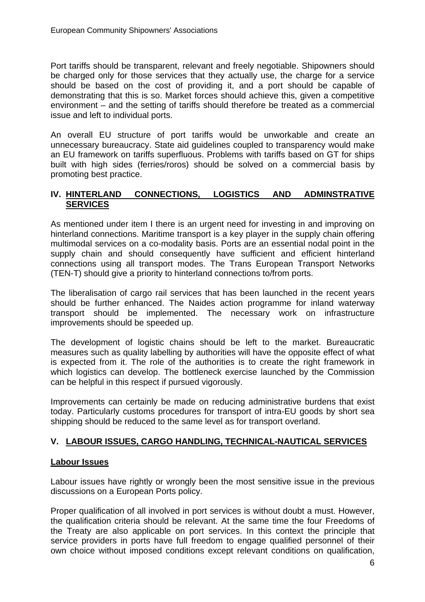Port tariffs should be transparent, relevant and freely negotiable. Shipowners should be charged only for those services that they actually use, the charge for a service should be based on the cost of providing it, and a port should be capable of demonstrating that this is so. Market forces should achieve this, given a competitive environment – and the setting of tariffs should therefore be treated as a commercial issue and left to individual ports.

An overall EU structure of port tariffs would be unworkable and create an unnecessary bureaucracy. State aid guidelines coupled to transparency would make an EU framework on tariffs superfluous. Problems with tariffs based on GT for ships built with high sides (ferries/roros) should be solved on a commercial basis by promoting best practice.

## **IV. HINTERLAND CONNECTIONS, LOGISTICS AND ADMINSTRATIVE SERVICES**

As mentioned under item I there is an urgent need for investing in and improving on hinterland connections. Maritime transport is a key player in the supply chain offering multimodal services on a co-modality basis. Ports are an essential nodal point in the supply chain and should consequently have sufficient and efficient hinterland connections using all transport modes. The Trans European Transport Networks (TEN-T) should give a priority to hinterland connections to/from ports.

The liberalisation of cargo rail services that has been launched in the recent years should be further enhanced. The Naides action programme for inland waterway transport should be implemented. The necessary work on infrastructure improvements should be speeded up.

The development of logistic chains should be left to the market. Bureaucratic measures such as quality labelling by authorities will have the opposite effect of what is expected from it. The role of the authorities is to create the right framework in which logistics can develop. The bottleneck exercise launched by the Commission can be helpful in this respect if pursued vigorously.

Improvements can certainly be made on reducing administrative burdens that exist today. Particularly customs procedures for transport of intra-EU goods by short sea shipping should be reduced to the same level as for transport overland.

# **V. LABOUR ISSUES, CARGO HANDLING, TECHNICAL-NAUTICAL SERVICES**

# **Labour Issues**

Labour issues have rightly or wrongly been the most sensitive issue in the previous discussions on a European Ports policy.

Proper qualification of all involved in port services is without doubt a must. However, the qualification criteria should be relevant. At the same time the four Freedoms of the Treaty are also applicable on port services. In this context the principle that service providers in ports have full freedom to engage qualified personnel of their own choice without imposed conditions except relevant conditions on qualification,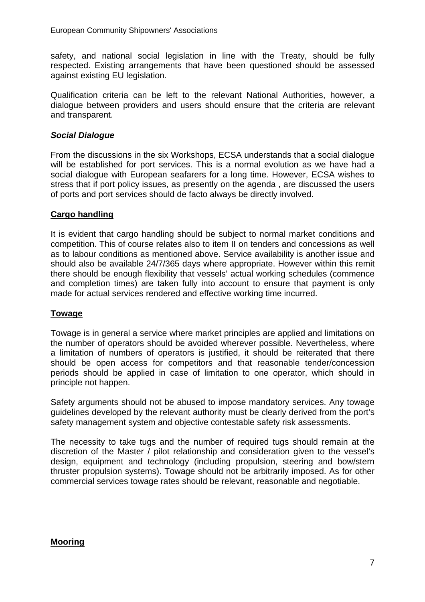safety, and national social legislation in line with the Treaty, should be fully respected. Existing arrangements that have been questioned should be assessed against existing EU legislation.

Qualification criteria can be left to the relevant National Authorities, however, a dialogue between providers and users should ensure that the criteria are relevant and transparent.

## *Social Dialogue*

From the discussions in the six Workshops, ECSA understands that a social dialogue will be established for port services. This is a normal evolution as we have had a social dialogue with European seafarers for a long time. However, ECSA wishes to stress that if port policy issues, as presently on the agenda , are discussed the users of ports and port services should de facto always be directly involved.

## **Cargo handling**

It is evident that cargo handling should be subject to normal market conditions and competition. This of course relates also to item II on tenders and concessions as well as to labour conditions as mentioned above. Service availability is another issue and should also be available 24/7/365 days where appropriate. However within this remit there should be enough flexibility that vessels' actual working schedules (commence and completion times) are taken fully into account to ensure that payment is only made for actual services rendered and effective working time incurred.

# **Towage**

Towage is in general a service where market principles are applied and limitations on the number of operators should be avoided wherever possible. Nevertheless, where a limitation of numbers of operators is justified, it should be reiterated that there should be open access for competitors and that reasonable tender/concession periods should be applied in case of limitation to one operator, which should in principle not happen.

Safety arguments should not be abused to impose mandatory services. Any towage guidelines developed by the relevant authority must be clearly derived from the port's safety management system and objective contestable safety risk assessments.

The necessity to take tugs and the number of required tugs should remain at the discretion of the Master / pilot relationship and consideration given to the vessel's design, equipment and technology (including propulsion, steering and bow/stern thruster propulsion systems). Towage should not be arbitrarily imposed. As for other commercial services towage rates should be relevant, reasonable and negotiable.

#### **Mooring**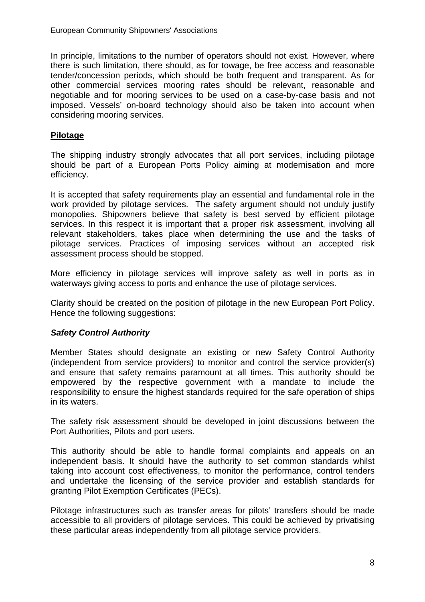In principle, limitations to the number of operators should not exist. However, where there is such limitation, there should, as for towage, be free access and reasonable tender/concession periods, which should be both frequent and transparent. As for other commercial services mooring rates should be relevant, reasonable and negotiable and for mooring services to be used on a case-by-case basis and not imposed. Vessels' on-board technology should also be taken into account when considering mooring services.

#### **Pilotage**

The shipping industry strongly advocates that all port services, including pilotage should be part of a European Ports Policy aiming at modernisation and more efficiency.

It is accepted that safety requirements play an essential and fundamental role in the work provided by pilotage services. The safety argument should not unduly justify monopolies. Shipowners believe that safety is best served by efficient pilotage services. In this respect it is important that a proper risk assessment, involving all relevant stakeholders, takes place when determining the use and the tasks of pilotage services. Practices of imposing services without an accepted risk assessment process should be stopped.

More efficiency in pilotage services will improve safety as well in ports as in waterways giving access to ports and enhance the use of pilotage services.

Clarity should be created on the position of pilotage in the new European Port Policy. Hence the following suggestions:

# *Safety Control Authority*

Member States should designate an existing or new Safety Control Authority (independent from service providers) to monitor and control the service provider(s) and ensure that safety remains paramount at all times. This authority should be empowered by the respective government with a mandate to include the responsibility to ensure the highest standards required for the safe operation of ships in its waters.

The safety risk assessment should be developed in joint discussions between the Port Authorities, Pilots and port users.

This authority should be able to handle formal complaints and appeals on an independent basis. It should have the authority to set common standards whilst taking into account cost effectiveness, to monitor the performance, control tenders and undertake the licensing of the service provider and establish standards for granting Pilot Exemption Certificates (PECs).

Pilotage infrastructures such as transfer areas for pilots' transfers should be made accessible to all providers of pilotage services. This could be achieved by privatising these particular areas independently from all pilotage service providers.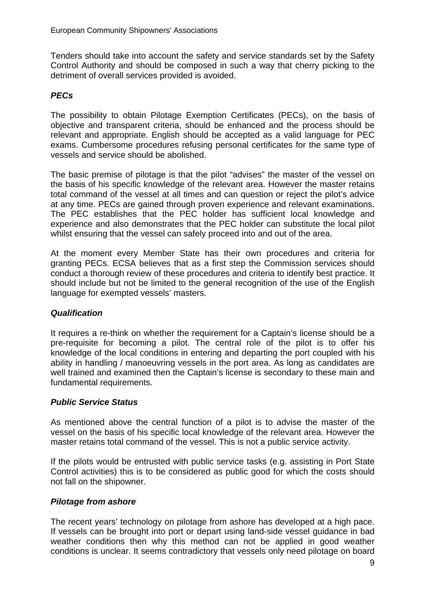Tenders should take into account the safety and service standards set by the Safety Control Authority and should be composed in such a way that cherry picking to the detriment of overall services provided is avoided.

# *PECs*

The possibility to obtain Pilotage Exemption Certificates (PECs), on the basis of objective and transparent criteria, should be enhanced and the process should be relevant and appropriate. English should be accepted as a valid language for PEC exams. Cumbersome procedures refusing personal certificates for the same type of vessels and service should be abolished.

The basic premise of pilotage is that the pilot "advises" the master of the vessel on the basis of his specific knowledge of the relevant area. However the master retains total command of the vessel at all times and can question or reject the pilot's advice at any time. PECs are gained through proven experience and relevant examinations. The PEC establishes that the PEC holder has sufficient local knowledge and experience and also demonstrates that the PEC holder can substitute the local pilot whilst ensuring that the vessel can safely proceed into and out of the area.

At the moment every Member State has their own procedures and criteria for granting PECs. ECSA believes that as a first step the Commission services should conduct a thorough review of these procedures and criteria to identify best practice. It should include but not be limited to the general recognition of the use of the English language for exempted vessels' masters.

# *Qualification*

It requires a re-think on whether the requirement for a Captain's license should be a pre-requisite for becoming a pilot. The central role of the pilot is to offer his knowledge of the local conditions in entering and departing the port coupled with his ability in handling / manoeuvring vessels in the port area. As long as candidates are well trained and examined then the Captain's license is secondary to these main and fundamental requirements.

#### *Public Service Status*

As mentioned above the central function of a pilot is to advise the master of the vessel on the basis of his specific local knowledge of the relevant area. However the master retains total command of the vessel. This is not a public service activity.

If the pilots would be entrusted with public service tasks (e.g. assisting in Port State Control activities) this is to be considered as public good for which the costs should not fall on the shipowner.

#### *Pilotage from ashore*

The recent years' technology on pilotage from ashore has developed at a high pace. If vessels can be brought into port or depart using land-side vessel guidance in bad weather conditions then why this method can not be applied in good weather conditions is unclear. It seems contradictory that vessels only need pilotage on board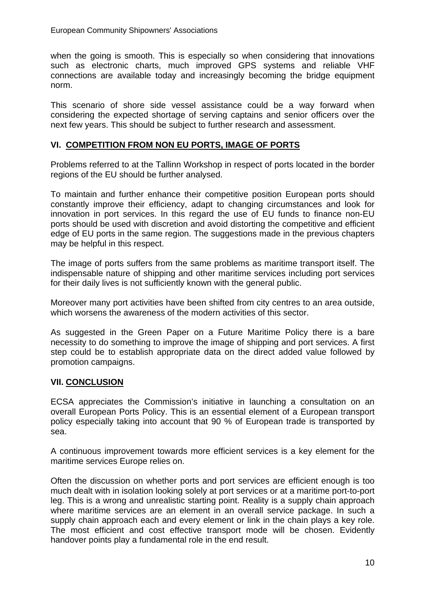when the going is smooth. This is especially so when considering that innovations such as electronic charts, much improved GPS systems and reliable VHF connections are available today and increasingly becoming the bridge equipment norm.

This scenario of shore side vessel assistance could be a way forward when considering the expected shortage of serving captains and senior officers over the next few years. This should be subject to further research and assessment.

# **VI. COMPETITION FROM NON EU PORTS, IMAGE OF PORTS**

Problems referred to at the Tallinn Workshop in respect of ports located in the border regions of the EU should be further analysed.

To maintain and further enhance their competitive position European ports should constantly improve their efficiency, adapt to changing circumstances and look for innovation in port services. In this regard the use of EU funds to finance non-EU ports should be used with discretion and avoid distorting the competitive and efficient edge of EU ports in the same region. The suggestions made in the previous chapters may be helpful in this respect.

The image of ports suffers from the same problems as maritime transport itself. The indispensable nature of shipping and other maritime services including port services for their daily lives is not sufficiently known with the general public.

Moreover many port activities have been shifted from city centres to an area outside, which worsens the awareness of the modern activities of this sector.

As suggested in the Green Paper on a Future Maritime Policy there is a bare necessity to do something to improve the image of shipping and port services. A first step could be to establish appropriate data on the direct added value followed by promotion campaigns.

# **VII. CONCLUSION**

ECSA appreciates the Commission's initiative in launching a consultation on an overall European Ports Policy. This is an essential element of a European transport policy especially taking into account that 90 % of European trade is transported by sea.

A continuous improvement towards more efficient services is a key element for the maritime services Europe relies on.

Often the discussion on whether ports and port services are efficient enough is too much dealt with in isolation looking solely at port services or at a maritime port-to-port leg. This is a wrong and unrealistic starting point. Reality is a supply chain approach where maritime services are an element in an overall service package. In such a supply chain approach each and every element or link in the chain plays a key role. The most efficient and cost effective transport mode will be chosen. Evidently handover points play a fundamental role in the end result.